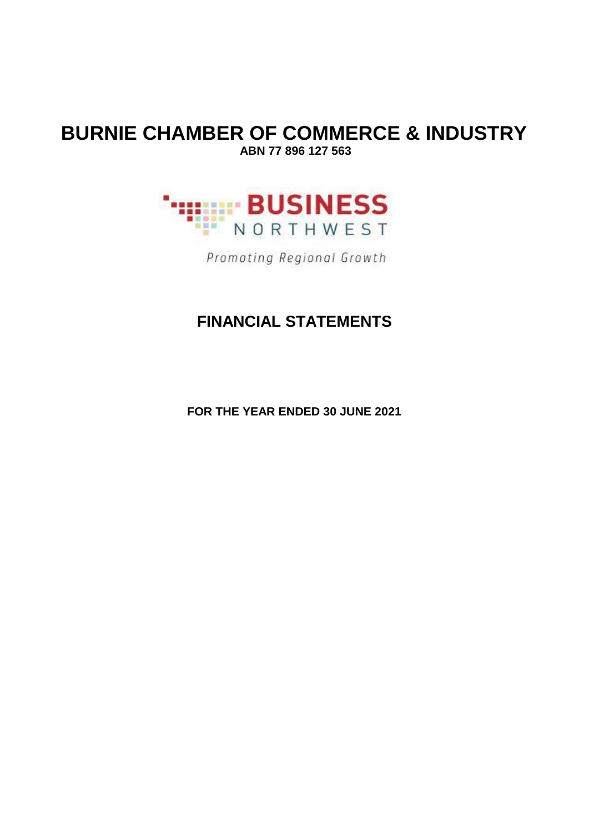### **BURNIE CHAMBER OF COMMERCE & INDUSTRY ABN 77 896 127 563**



Promoting Regional Growth

### **FINANCIAL STATEMENTS**

**FOR THE YEAR ENDED 30 JUNE 2021**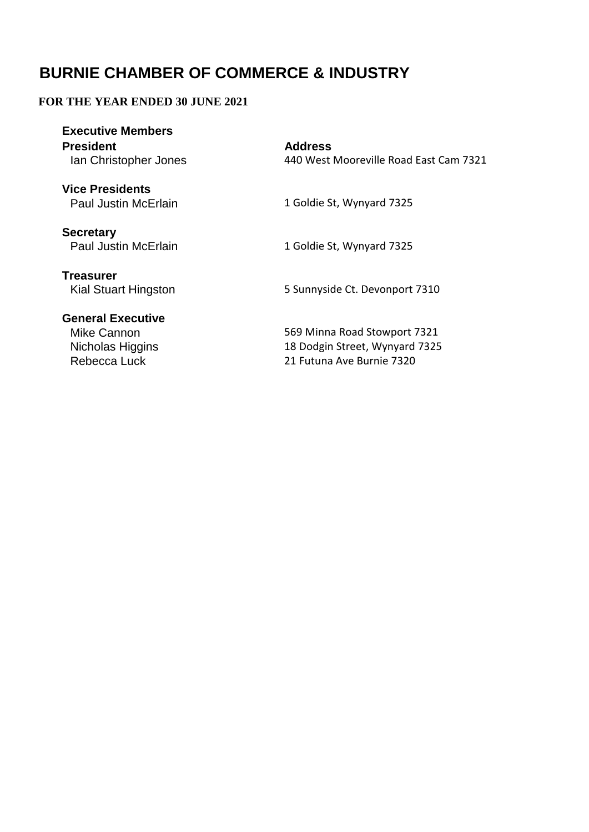### **FOR THE YEAR ENDED 30 JUNE 2021**

| <b>Executive Members</b><br><b>President</b><br>Ian Christopher Jones | <b>Address</b><br>440 West Mooreville Road East Cam 7321 |
|-----------------------------------------------------------------------|----------------------------------------------------------|
| <b>Vice Presidents</b><br><b>Paul Justin McErlain</b>                 | 1 Goldie St, Wynyard 7325                                |
| <b>Secretary</b><br><b>Paul Justin McErlain</b>                       | 1 Goldie St, Wynyard 7325                                |
| <b>Treasurer</b><br>Kial Stuart Hingston                              | 5 Sunnyside Ct. Devonport 7310                           |
| <b>General Executive</b><br>Mike Cannon                               | 569 Minna Road Stowport 7321                             |

21 Futuna Ave Burnie 7320

18 Dodgin Street, Wynyard 7325

Nicholas Higgins<br>Rebecca Luck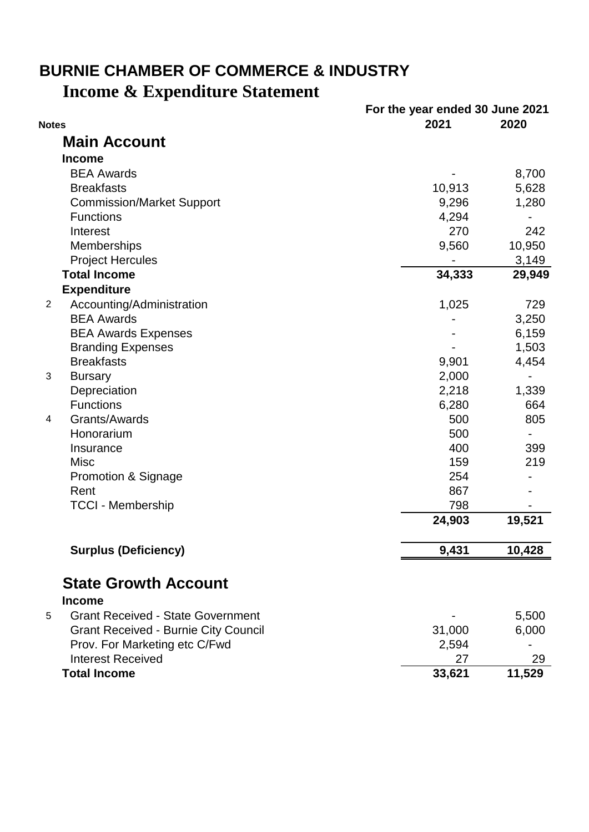# **Income & Expenditure Statement BURNIE CHAMBER OF COMMERCE & INDUSTRY**

|                |                                             | For the year ended 30 June 2021 |        |
|----------------|---------------------------------------------|---------------------------------|--------|
| <b>Notes</b>   |                                             | 2021                            | 2020   |
|                | <b>Main Account</b>                         |                                 |        |
|                | <b>Income</b>                               |                                 |        |
|                | <b>BEA Awards</b>                           |                                 | 8,700  |
|                | <b>Breakfasts</b>                           | 10,913                          | 5,628  |
|                | <b>Commission/Market Support</b>            | 9,296                           | 1,280  |
|                | <b>Functions</b>                            | 4,294                           |        |
|                | Interest                                    | 270                             | 242    |
|                | Memberships                                 | 9,560                           | 10,950 |
|                | <b>Project Hercules</b>                     |                                 | 3,149  |
|                | <b>Total Income</b>                         | 34,333                          | 29,949 |
|                | <b>Expenditure</b>                          |                                 |        |
| $\overline{2}$ | Accounting/Administration                   | 1,025                           | 729    |
|                | <b>BEA Awards</b>                           |                                 | 3,250  |
|                | <b>BEA Awards Expenses</b>                  |                                 | 6,159  |
|                | <b>Branding Expenses</b>                    |                                 | 1,503  |
|                | <b>Breakfasts</b>                           | 9,901                           | 4,454  |
| 3              | <b>Bursary</b>                              | 2,000                           |        |
|                | Depreciation                                | 2,218                           | 1,339  |
|                | <b>Functions</b>                            | 6,280                           | 664    |
| 4              | Grants/Awards                               | 500                             | 805    |
|                | Honorarium                                  | 500                             |        |
|                | Insurance                                   | 400                             | 399    |
|                | <b>Misc</b>                                 | 159                             | 219    |
|                | <b>Promotion &amp; Signage</b>              | 254                             |        |
|                | Rent                                        | 867                             |        |
|                | <b>TCCI - Membership</b>                    | 798                             |        |
|                |                                             | 24,903                          | 19,521 |
|                | <b>Surplus (Deficiency)</b>                 | 9,431                           | 10,428 |
|                |                                             |                                 |        |
|                | <b>State Growth Account</b>                 |                                 |        |
|                | <b>Income</b>                               |                                 |        |
| 5              | <b>Grant Received - State Government</b>    |                                 | 5,500  |
|                | <b>Grant Received - Burnie City Council</b> | 31,000                          | 6,000  |
|                | Prov. For Marketing etc C/Fwd               | 2,594                           |        |
|                | <b>Interest Received</b>                    | 27                              | 29     |
|                | <b>Total Income</b>                         | 33,621                          | 11,529 |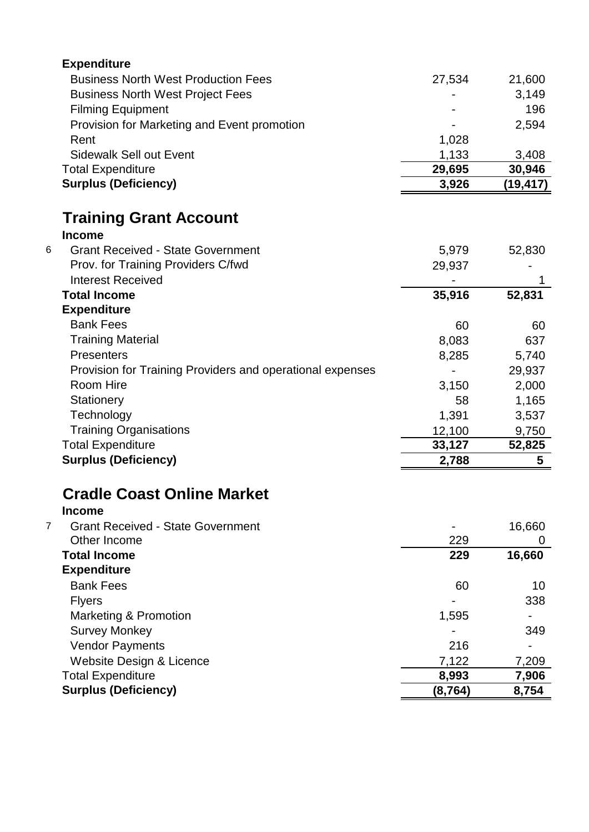| <b>Expenditure</b>                                         |          |          |
|------------------------------------------------------------|----------|----------|
| <b>Business North West Production Fees</b>                 | 27,534   | 21,600   |
| <b>Business North West Project Fees</b>                    |          | 3,149    |
| <b>Filming Equipment</b>                                   |          | 196      |
| Provision for Marketing and Event promotion                |          | 2,594    |
| Rent                                                       | 1,028    |          |
| <b>Sidewalk Sell out Event</b>                             | 1,133    | 3,408    |
| <b>Total Expenditure</b>                                   | 29,695   | 30,946   |
| <b>Surplus (Deficiency)</b>                                | 3,926    | (19,417) |
| <b>Training Grant Account</b>                              |          |          |
| <b>Income</b>                                              |          |          |
| <b>Grant Received - State Government</b><br>6              | 5,979    | 52,830   |
| Prov. for Training Providers C/fwd                         | 29,937   |          |
| <b>Interest Received</b>                                   |          |          |
| <b>Total Income</b>                                        | 35,916   | 52,831   |
| <b>Expenditure</b>                                         |          |          |
| <b>Bank Fees</b>                                           | 60       | 60       |
| <b>Training Material</b>                                   | 8,083    | 637      |
| Presenters                                                 | 8,285    | 5,740    |
| Provision for Training Providers and operational expenses  |          | 29,937   |
| Room Hire                                                  | 3,150    | 2,000    |
| Stationery                                                 | 58       | 1,165    |
| Technology                                                 | 1,391    | 3,537    |
| <b>Training Organisations</b>                              | 12,100   | 9,750    |
| <b>Total Expenditure</b>                                   | 33,127   | 52,825   |
| <b>Surplus (Deficiency)</b>                                | 2,788    | 5        |
| <b>Cradle Coast Online Market</b>                          |          |          |
| <b>Income</b>                                              |          |          |
| $\overline{7}$<br><b>Grant Received - State Government</b> |          | 16,660   |
| Other Income                                               | 229      | 0        |
| <b>Total Income</b>                                        | 229      | 16,660   |
| <b>Expenditure</b>                                         |          |          |
| <b>Bank Fees</b>                                           | 60       | 10       |
| <b>Flyers</b>                                              |          | 338      |
| <b>Marketing &amp; Promotion</b>                           | 1,595    |          |
| <b>Survey Monkey</b>                                       |          | 349      |
| <b>Vendor Payments</b>                                     | 216      |          |
| Website Design & Licence                                   | 7,122    | 7,209    |
| <b>Total Expenditure</b><br><b>Surplus (Deficiency)</b>    | 8,993    | 7,906    |
|                                                            | (8, 764) | 8,754    |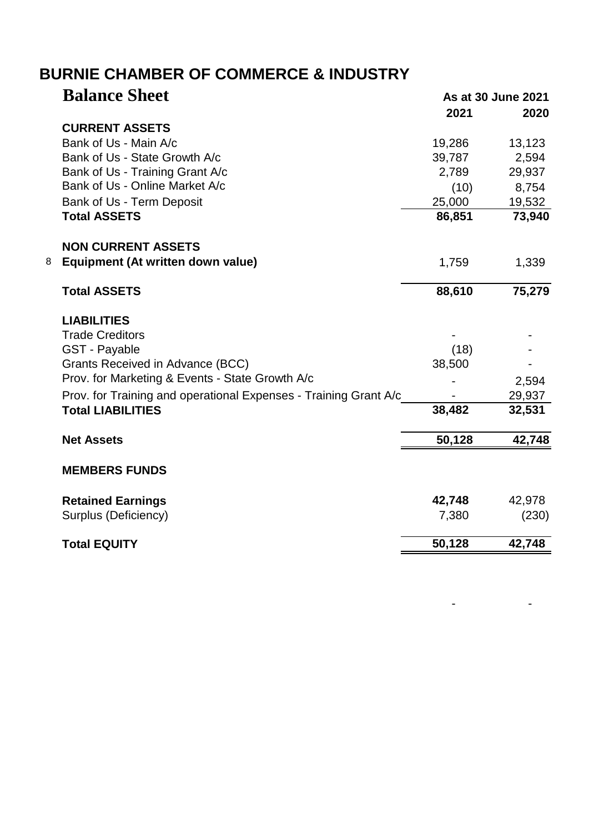| <b>CURRENT ASSETS</b><br>Bank of Us - Main A/c<br>Bank of Us - State Growth A/c<br>Bank of Us - Training Grant A/c<br>Bank of Us - Online Market A/c | 2021<br>19,286<br>39,787<br>2,789<br>(10)<br>25,000 | 2020<br>13,123<br>2,594<br>29,937<br>8,754 |
|------------------------------------------------------------------------------------------------------------------------------------------------------|-----------------------------------------------------|--------------------------------------------|
|                                                                                                                                                      |                                                     |                                            |
|                                                                                                                                                      |                                                     |                                            |
|                                                                                                                                                      |                                                     |                                            |
|                                                                                                                                                      |                                                     |                                            |
|                                                                                                                                                      |                                                     |                                            |
|                                                                                                                                                      |                                                     |                                            |
| Bank of Us - Term Deposit                                                                                                                            |                                                     | 19,532                                     |
| <b>Total ASSETS</b>                                                                                                                                  | 86,851                                              | 73,940                                     |
| <b>NON CURRENT ASSETS</b>                                                                                                                            |                                                     |                                            |
| Equipment (At written down value)<br>8                                                                                                               | 1,759                                               | 1,339                                      |
| <b>Total ASSETS</b>                                                                                                                                  | 88,610                                              | 75,279                                     |
| <b>LIABILITIES</b>                                                                                                                                   |                                                     |                                            |
| <b>Trade Creditors</b>                                                                                                                               |                                                     |                                            |
| <b>GST - Payable</b>                                                                                                                                 | (18)                                                |                                            |
| Grants Received in Advance (BCC)                                                                                                                     | 38,500                                              |                                            |
| Prov. for Marketing & Events - State Growth A/c                                                                                                      |                                                     | 2,594                                      |
| Prov. for Training and operational Expenses - Training Grant A/c                                                                                     |                                                     | 29,937                                     |
| <b>Total LIABILITIES</b>                                                                                                                             | 38,482                                              | 32,531                                     |
| <b>Net Assets</b>                                                                                                                                    | 50,128                                              | 42,748                                     |
| <b>MEMBERS FUNDS</b>                                                                                                                                 |                                                     |                                            |
| <b>Retained Earnings</b>                                                                                                                             | 42,748                                              | 42,978                                     |
| Surplus (Deficiency)                                                                                                                                 | 7,380                                               | (230)                                      |
| <b>Total EQUITY</b>                                                                                                                                  | 50,128                                              | 42,748                                     |

- - - - - - - - - - - -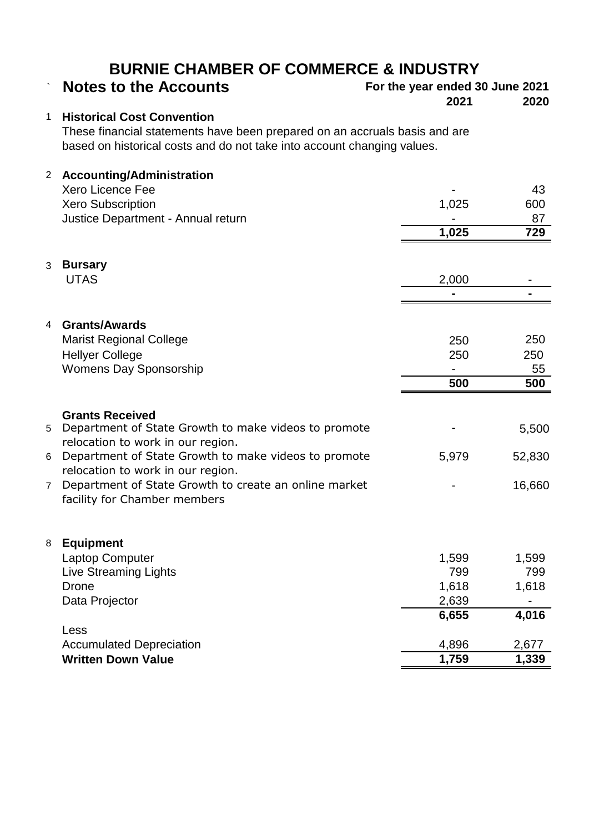# **Notes to the Accounts For the year ended 30 June 2021**<br>2020 **2021**

**2021 2020**

### 1 **Historical Cost Convention**

These financial statements have been prepared on an accruals basis and are based on historical costs and do not take into account changing values.

| $\overline{2}$ | <b>Accounting/Administration</b>                      |                |                |
|----------------|-------------------------------------------------------|----------------|----------------|
|                | Xero Licence Fee                                      |                | 43             |
|                | <b>Xero Subscription</b>                              | 1,025          | 600            |
|                | Justice Department - Annual return                    |                | 87             |
|                |                                                       | 1,025          | 729            |
| 3              | <b>Bursary</b>                                        |                |                |
|                | <b>UTAS</b>                                           | 2,000          |                |
|                |                                                       | $\blacksquare$ | $\blacksquare$ |
| 4              | <b>Grants/Awards</b>                                  |                |                |
|                | <b>Marist Regional College</b>                        | 250            | 250            |
|                | <b>Hellyer College</b>                                | 250            | 250            |
|                | <b>Womens Day Sponsorship</b>                         |                | 55             |
|                |                                                       | 500            | 500            |
|                |                                                       |                |                |
|                | <b>Grants Received</b>                                |                |                |
| 5              | Department of State Growth to make videos to promote  |                | 5,500          |
|                | relocation to work in our region.                     |                |                |
| 6              | Department of State Growth to make videos to promote  | 5,979          | 52,830         |
|                | relocation to work in our region.                     |                |                |
| $\overline{7}$ | Department of State Growth to create an online market |                | 16,660         |
|                | facility for Chamber members                          |                |                |
|                |                                                       |                |                |
| 8              | <b>Equipment</b>                                      |                |                |
|                | Laptop Computer                                       | 1,599          | 1,599          |
|                | <b>Live Streaming Lights</b><br><b>Drone</b>          | 799<br>1,618   | 799<br>1,618   |
|                |                                                       | 2,639          |                |
|                | Data Projector                                        | 6,655          | 4,016          |
|                | Less                                                  |                |                |
|                | <b>Accumulated Depreciation</b>                       | 4,896          | 2,677          |
|                | <b>Written Down Value</b>                             | 1,759          | 1,339          |
|                |                                                       |                |                |